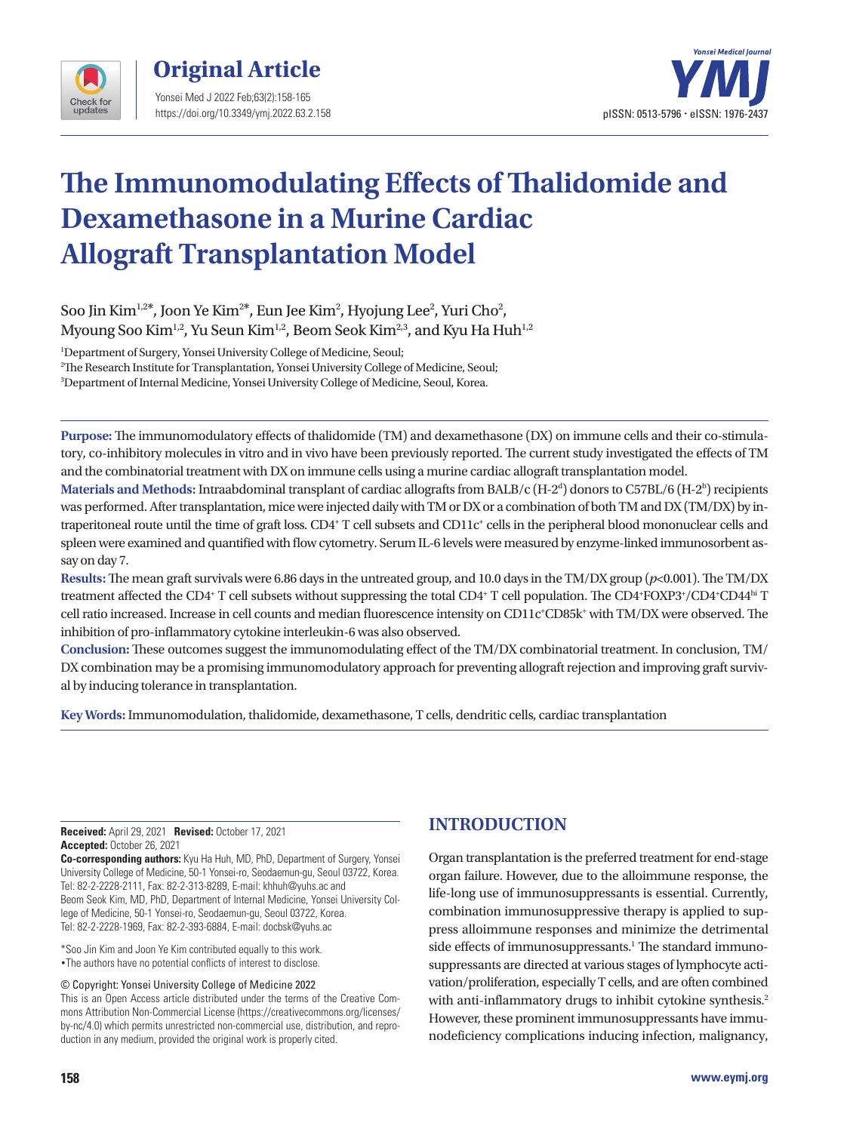

**Original Article**  Yonsei Med J 2022 Feb;63(2):158-165 https://doi.org/10.3349/ymj.2022.63.2.158



# **The Immunomodulating Effects of Thalidomide and Dexamethasone in a Murine Cardiac Allograft Transplantation Model**

Soo Jin Kim $^{1,2*}$ , Joon Ye Kim $^{2*}$ , Eun Jee Kim $^2$ , Hyojung Lee $^2$ , Yuri Cho $^2$ , Myoung Soo Kim<sup>1,2</sup>, Yu Seun Kim<sup>1,2</sup>, Beom Seok Kim<sup>2,3</sup>, and Kyu Ha Huh<sup>1,2</sup>

1 Department of Surgery, Yonsei University College of Medicine, Seoul;

2 The Research Institute for Transplantation, Yonsei University College of Medicine, Seoul;

3 Department of Internal Medicine, Yonsei University College of Medicine, Seoul, Korea.

**Purpose:** The immunomodulatory effects of thalidomide (TM) and dexamethasone (DX) on immune cells and their co-stimulatory, co-inhibitory molecules in vitro and in vivo have been previously reported. The current study investigated the effects of TM and the combinatorial treatment with DX on immune cells using a murine cardiac allograft transplantation model.

 $\rm{Materials}$  and  $\rm{Methods: Intraabdominal}$  transplant of cardiac allografts from  $\rm{BALB/c}\,(H\text{-}2^d)$  donors to C57BL/6  $(\rm{H\text{-}2^b})$  recipients was performed. After transplantation, mice were injected daily with TM or DX or a combination of both TM and DX (TM/DX) by intraperitoneal route until the time of graft loss. CD4+ T cell subsets and CD11c+ cells in the peripheral blood mononuclear cells and spleen were examined and quantified with flow cytometry. Serum IL-6 levels were measured by enzyme-linked immunosorbent assay on day 7.

**Results:** The mean graft survivals were 6.86 days in the untreated group, and 10.0 days in the TM/DX group (*p*<0.001). The TM/DX treatment affected the CD4<sup>+</sup> T cell subsets without suppressing the total CD4<sup>+</sup> T cell population. The CD4<sup>+</sup>FOXP3<sup>+</sup>/CD4<sup>+</sup>CD4<sup>hi</sup> T cell ratio increased. Increase in cell counts and median fluorescence intensity on CD11c<sup>+</sup>CD85k<sup>+</sup> with TM/DX were observed. The inhibition of pro-inflammatory cytokine interleukin-6 was also observed.

**Conclusion:** These outcomes suggest the immunomodulating effect of the TM/DX combinatorial treatment. In conclusion, TM/ DX combination may be a promising immunomodulatory approach for preventing allograft rejection and improving graft survival by inducing tolerance in transplantation.

**Key Words:**Immunomodulation, thalidomide, dexamethasone, T cells, dendritic cells, cardiac transplantation

**Received:** April 29, 2021 **Revised:** October 17, 2021 **Accepted:** October 26, 2021

**Co-corresponding authors:** Kyu Ha Huh, MD, PhD, Department of Surgery, Yonsei University College of Medicine, 50-1 Yonsei-ro, Seodaemun-gu, Seoul 03722, Korea. Tel: 82-2-2228-2111, Fax: 82-2-313-8289, E-mail: khhuh@yuhs.ac and Beom Seok Kim, MD, PhD, Department of Internal Medicine, Yonsei University College of Medicine, 50-1 Yonsei-ro, Seodaemun-gu, Seoul 03722, Korea. Tel: 82-2-2228-1969, Fax: 82-2-393-6884, E-mail: docbsk@yuhs.ac

\*Soo Jin Kim and Joon Ye Kim contributed equally to this work. •The authors have no potential conflicts of interest to disclose.

#### © Copyright: Yonsei University College of Medicine 2022

This is an Open Access article distributed under the terms of the Creative Commons Attribution Non-Commercial License (https://creativecommons.org/licenses/ by-nc/4.0) which permits unrestricted non-commercial use, distribution, and reproduction in any medium, provided the original work is properly cited.

## **INTRODUCTION**

Organ transplantation is the preferred treatment for end-stage organ failure. However, due to the alloimmune response, the life-long use of immunosuppressants is essential. Currently, combination immunosuppressive therapy is applied to suppress alloimmune responses and minimize the detrimental side effects of immunosuppressants.<sup>1</sup> The standard immunosuppressants are directed at various stages of lymphocyte activation/proliferation, especially T cells, and are often combined with anti-inflammatory drugs to inhibit cytokine synthesis.<sup>2</sup> However, these prominent immunosuppressants have immunodeficiency complications inducing infection, malignancy,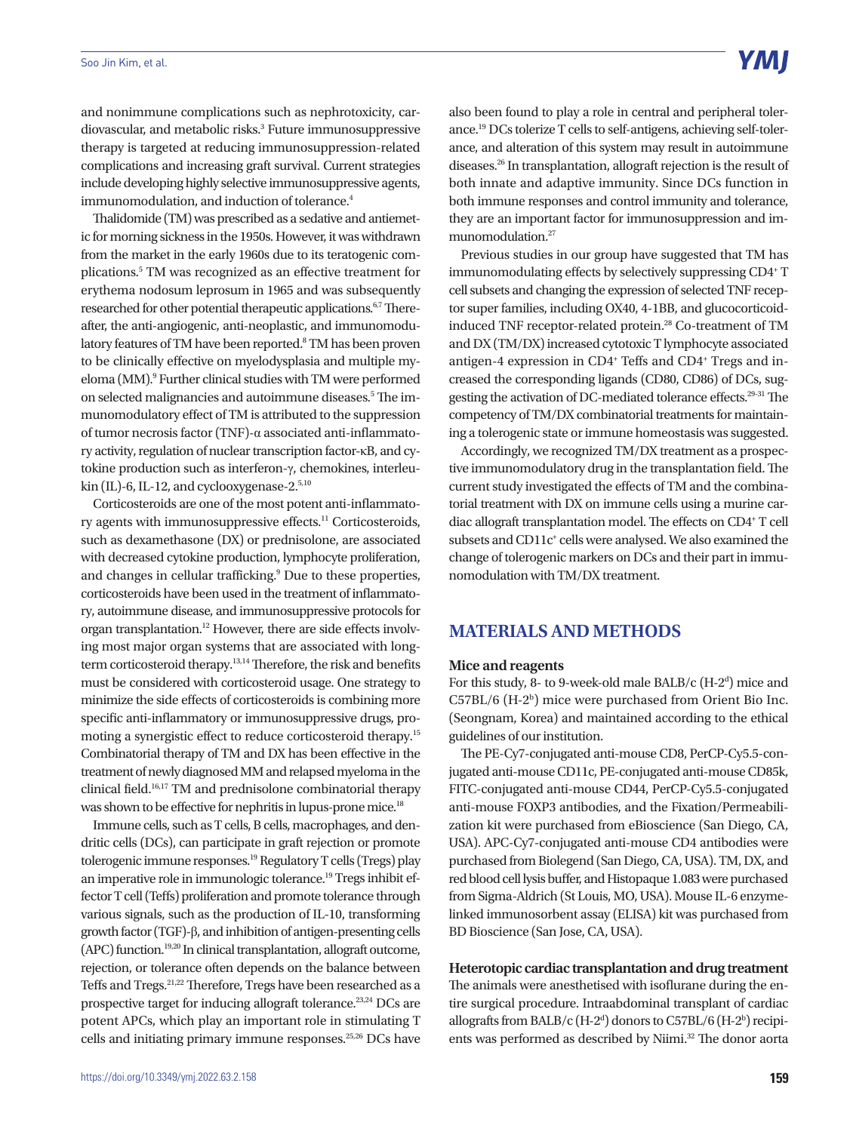#### Soo Jin Kim, et al.

and nonimmune complications such as nephrotoxicity, cardiovascular, and metabolic risks.3 Future immunosuppressive therapy is targeted at reducing immunosuppression-related complications and increasing graft survival. Current strategies include developing highly selective immunosuppressive agents, immunomodulation, and induction of tolerance.<sup>4</sup>

Thalidomide (TM) was prescribed as a sedative and antiemetic for morning sickness in the 1950s. However, it was withdrawn from the market in the early 1960s due to its teratogenic complications.<sup>5</sup> TM was recognized as an effective treatment for erythema nodosum leprosum in 1965 and was subsequently researched for other potential therapeutic applications.6,7 Thereafter, the anti-angiogenic, anti-neoplastic, and immunomodulatory features of TM have been reported.<sup>8</sup> TM has been proven to be clinically effective on myelodysplasia and multiple myeloma (MM).<sup>9</sup> Further clinical studies with TM were performed on selected malignancies and autoimmune diseases.<sup>5</sup> The immunomodulatory effect of TM is attributed to the suppression of tumor necrosis factor (TNF)-α associated anti-inflammatory activity, regulation of nuclear transcription factor-κB, and cytokine production such as interferon-γ, chemokines, interleukin (IL)-6, IL-12, and cyclooxygenase-2.<sup>5,10</sup>

Corticosteroids are one of the most potent anti-inflammatory agents with immunosuppressive effects.<sup>11</sup> Corticosteroids, such as dexamethasone (DX) or prednisolone, are associated with decreased cytokine production, lymphocyte proliferation, and changes in cellular trafficking.<sup>9</sup> Due to these properties, corticosteroids have been used in the treatment of inflammatory, autoimmune disease, and immunosuppressive protocols for organ transplantation.12 However, there are side effects involving most major organ systems that are associated with longterm corticosteroid therapy.13,14 Therefore, the risk and benefits must be considered with corticosteroid usage. One strategy to minimize the side effects of corticosteroids is combining more specific anti-inflammatory or immunosuppressive drugs, promoting a synergistic effect to reduce corticosteroid therapy.15 Combinatorial therapy of TM and DX has been effective in the treatment of newly diagnosed MM and relapsed myeloma in the clinical field.16,17 TM and prednisolone combinatorial therapy was shown to be effective for nephritis in lupus-prone mice.<sup>18</sup>

Immune cells, such as T cells, B cells, macrophages, and dendritic cells (DCs), can participate in graft rejection or promote tolerogenic immune responses.19 Regulatory T cells (Tregs) play an imperative role in immunologic tolerance.19 Tregs inhibit effector T cell (Teffs) proliferation and promote tolerance through various signals, such as the production of IL-10, transforming growth factor (TGF)-β, and inhibition of antigen-presenting cells (APC) function.19,20 In clinical transplantation, allograft outcome, rejection, or tolerance often depends on the balance between Teffs and Tregs.21,22 Therefore, Tregs have been researched as a prospective target for inducing allograft tolerance.<sup>23,24</sup> DCs are potent APCs, which play an important role in stimulating T cells and initiating primary immune responses.<sup>25,26</sup> DCs have

also been found to play a role in central and peripheral tolerance.19 DCs tolerize T cells to self-antigens, achieving self-tolerance, and alteration of this system may result in autoimmune diseases.26 In transplantation, allograft rejection is the result of both innate and adaptive immunity. Since DCs function in both immune responses and control immunity and tolerance, they are an important factor for immunosuppression and immunomodulation.27

Previous studies in our group have suggested that TM has immunomodulating effects by selectively suppressing CD4+T cell subsets and changing the expression of selected TNF receptor super families, including OX40, 4-1BB, and glucocorticoidinduced TNF receptor-related protein.<sup>28</sup> Co-treatment of TM and DX (TM/DX) increased cytotoxic T lymphocyte associated antigen-4 expression in CD4<sup>+</sup> Teffs and CD4<sup>+</sup> Tregs and increased the corresponding ligands (CD80, CD86) of DCs, suggesting the activation of DC-mediated tolerance effects.29-31 The competency of TM/DX combinatorial treatments for maintaining a tolerogenic state or immune homeostasis was suggested.

Accordingly, we recognized TM/DX treatment as a prospective immunomodulatory drug in the transplantation field. The current study investigated the effects of TM and the combinatorial treatment with DX on immune cells using a murine cardiac allograft transplantation model. The effects on CD4+ T cell subsets and CD11c<sup>+</sup> cells were analysed. We also examined the change of tolerogenic markers on DCs and their part in immunomodulation with TM/DX treatment.

### **MATERIALS AND METHODS**

#### **Mice and reagents**

For this study, 8- to 9-week-old male BALB/c  $(H-2<sup>d</sup>)$  mice and C57BL/6 (H-2b ) mice were purchased from Orient Bio Inc. (Seongnam, Korea) and maintained according to the ethical guidelines of our institution.

The PE-Cy7-conjugated anti-mouse CD8, PerCP-Cy5.5-conjugated anti-mouse CD11c, PE-conjugated anti-mouse CD85k, FITC-conjugated anti-mouse CD44, PerCP-Cy5.5-conjugated anti-mouse FOXP3 antibodies, and the Fixation/Permeabilization kit were purchased from eBioscience (San Diego, CA, USA). APC-Cy7-conjugated anti-mouse CD4 antibodies were purchased from Biolegend (San Diego, CA, USA). TM, DX, and red blood cell lysis buffer, and Histopaque 1.083 were purchased from Sigma-Aldrich (St Louis, MO, USA). Mouse IL-6 enzymelinked immunosorbent assay (ELISA) kit was purchased from BD Bioscience (San Jose, CA, USA).

#### **Heterotopic cardiac transplantation and drug treatment** The animals were anesthetised with isoflurane during the en-

tire surgical procedure. Intraabdominal transplant of cardiac allografts from BALB/c (H-2<sup>d</sup>) donors to C57BL/6 (H-2<sup>b</sup>) recipients was performed as described by Niimi.<sup>32</sup> The donor aorta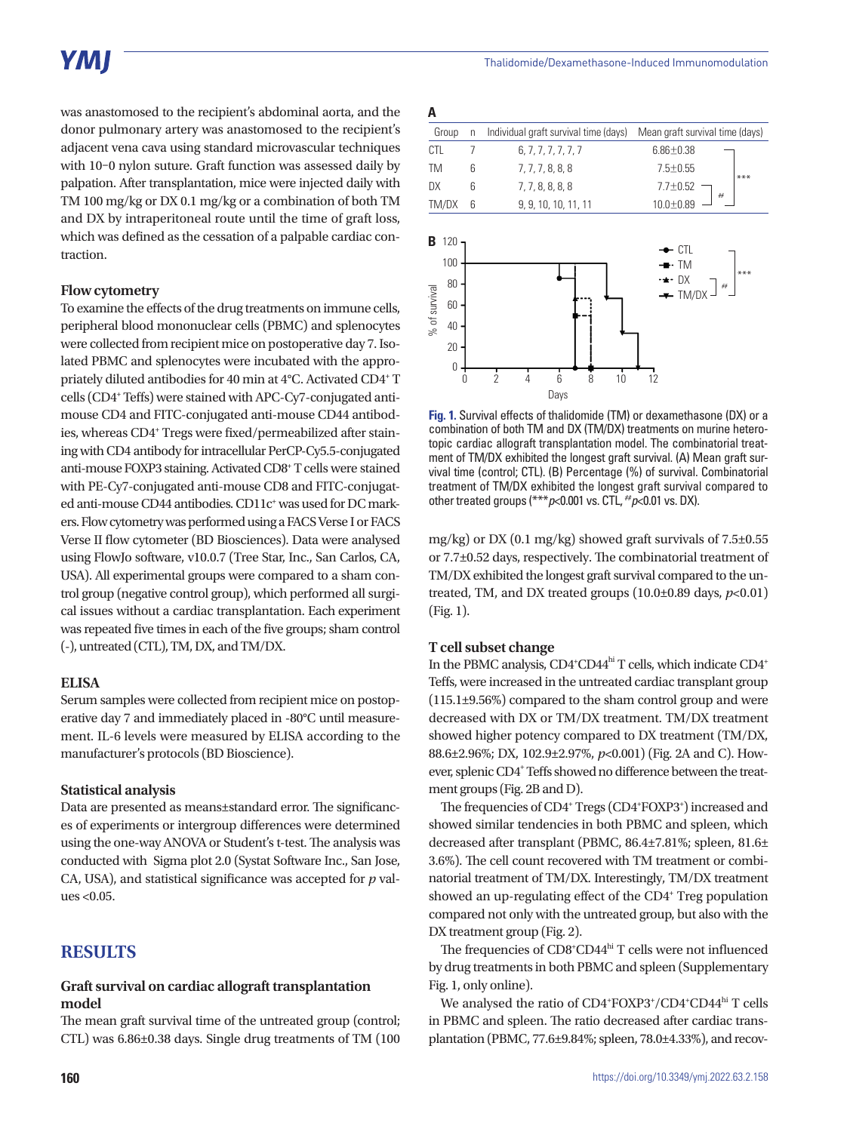was anastomosed to the recipient's abdominal aorta, and the donor pulmonary artery was anastomosed to the recipient's adjacent vena cava using standard microvascular techniques with 10–0 nylon suture. Graft function was assessed daily by palpation. After transplantation, mice were injected daily with TM 100 mg/kg or DX 0.1 mg/kg or a combination of both TM and DX by intraperitoneal route until the time of graft loss, which was defined as the cessation of a palpable cardiac contraction.

#### **Flow cytometry**

To examine the effects of the drug treatments on immune cells, peripheral blood mononuclear cells (PBMC) and splenocytes were collected from recipient mice on postoperative day 7. Isolated PBMC and splenocytes were incubated with the appropriately diluted antibodies for 40 min at 4°C. Activated CD4<sup>+</sup> T cells (CD4+ Teffs) were stained with APC-Cy7-conjugated antimouse CD4 and FITC-conjugated anti-mouse CD44 antibodies, whereas CD4<sup>+</sup> Tregs were fixed/permeabilized after staining with CD4 antibody for intracellular PerCP-Cy5.5-conjugated anti-mouse FOXP3 staining. Activated CD8+ T cells were stained with PE-Cy7-conjugated anti-mouse CD8 and FITC-conjugated anti-mouse CD44 antibodies. CD11c<sup>+</sup> was used for DC markers. Flow cytometry was performed using a FACS Verse I or FACS Verse II flow cytometer (BD Biosciences). Data were analysed using FlowJo software, v10.0.7 (Tree Star, Inc., San Carlos, CA, USA). All experimental groups were compared to a sham control group (negative control group), which performed all surgical issues without a cardiac transplantation. Each experiment was repeated five times in each of the five groups; sham control (-), untreated (CTL), TM, DX, and TM/DX.

#### **ELISA**

Serum samples were collected from recipient mice on postoperative day 7 and immediately placed in -80°C until measurement. IL-6 levels were measured by ELISA according to the manufacturer's protocols (BD Bioscience).

#### **Statistical analysis**

Data are presented as means±standard error. The significances of experiments or intergroup differences were determined using the one-way ANOVA or Student's t-test. The analysis was conducted with Sigma plot 2.0 (Systat Software Inc., San Jose, CA, USA), and statistical significance was accepted for *p* values <0.05.

### **RESULTS**

#### **Graft survival on cardiac allograft transplantation model**

The mean graft survival time of the untreated group (control; CTL) was 6.86±0.38 days. Single drug treatments of TM (100

| Α                  |                                              |   |                                             |                                                          |
|--------------------|----------------------------------------------|---|---------------------------------------------|----------------------------------------------------------|
| Group              |                                              | n | Individual graft survival time (days)       | Mean graft survival time (days)                          |
| CTL                |                                              | 7 | 6, 7, 7, 7, 7, 7, 7                         | $6.86 \pm 0.38$                                          |
| <b>TM</b>          |                                              | 6 | 7, 7, 7, 8, 8, 8                            | $7.5 \pm 0.55$<br>$***$                                  |
| DX                 |                                              | 6 | 7, 7, 8, 8, 8, 8                            | $7.7 \pm 0.52$<br>##                                     |
| TM/DX              |                                              | 6 | 9, 9, 10, 10, 11, 11                        | $10.0 + 0.89$                                            |
| В<br>% of survival | 120<br>100<br>80<br>60<br>40<br>20<br>0<br>0 |   | $\overline{2}$<br>6<br>4<br>10<br>8<br>Days | CTL<br>- TM<br>$***$<br>DX<br>÷<br>##<br>$-$ TM/DX<br>12 |

**Fig. 1.** Survival effects of thalidomide (TM) or dexamethasone (DX) or a combination of both TM and DX (TM/DX) treatments on murine heterotopic cardiac allograft transplantation model. The combinatorial treatment of TM/DX exhibited the longest graft survival. (A) Mean graft survival time (control; CTL). (B) Percentage (%) of survival. Combinatorial treatment of TM/DX exhibited the longest graft survival compared to other treated groups (\*\*\**p*<0.001 vs. CTL, ##*p*<0.01 vs. DX).

mg/kg) or DX (0.1 mg/kg) showed graft survivals of 7.5±0.55 or 7.7±0.52 days, respectively. The combinatorial treatment of TM/DX exhibited the longest graft survival compared to the untreated, TM, and DX treated groups  $(10.0\pm0.89 \text{ days}, p<0.01)$ (Fig. 1).

#### **T cell subset change**

In the PBMC analysis, CD4<sup>+</sup>CD44<sup>hi</sup> T cells, which indicate CD4<sup>+</sup> Teffs, were increased in the untreated cardiac transplant group (115.1±9.56%) compared to the sham control group and were decreased with DX or TM/DX treatment. TM/DX treatment showed higher potency compared to DX treatment (TM/DX, 88.6±2.96%; DX, 102.9±2.97%, *p*<0.001) (Fig. 2A and C). However, splenic CD4<sup>+</sup> Teffs showed no difference between the treatment groups (Fig. 2B and D).

The frequencies of CD4<sup>+</sup> Tregs (CD4<sup>+</sup>FOXP3<sup>+</sup>) increased and showed similar tendencies in both PBMC and spleen, which decreased after transplant (PBMC, 86.4±7.81%; spleen, 81.6± 3.6%). The cell count recovered with TM treatment or combinatorial treatment of TM/DX. Interestingly, TM/DX treatment showed an up-regulating effect of the CD4<sup>+</sup> Treg population compared not only with the untreated group, but also with the DX treatment group (Fig. 2).

The frequencies of CD8<sup>+</sup>CD44<sup>hi</sup> T cells were not influenced by drug treatments in both PBMC and spleen (Supplementary Fig. 1, only online).

We analysed the ratio of CD4+FOXP3+/CD4+CD44hi T cells in PBMC and spleen. The ratio decreased after cardiac transplantation (PBMC, 77.6±9.84%; spleen, 78.0±4.33%), and recov-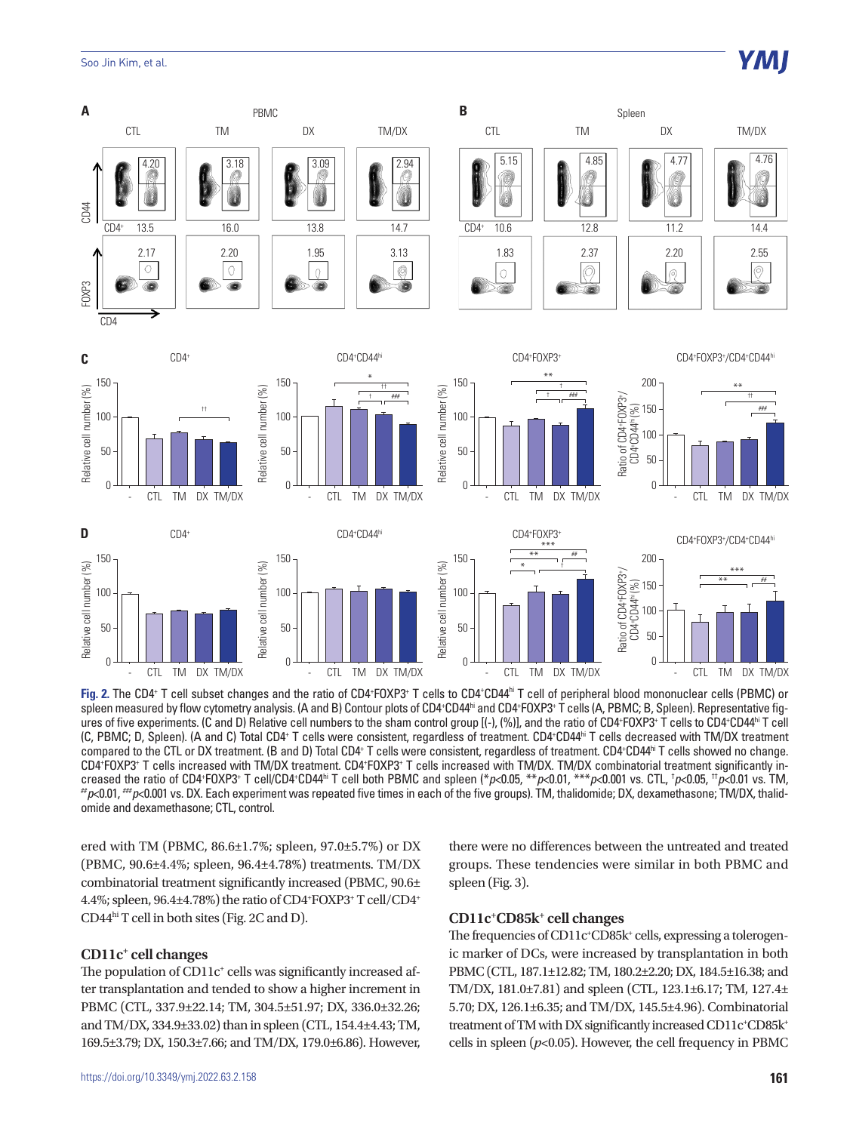#### Soo Jin Kim, et al.



**Fig. 2.** The CD4+ T cell subset changes and the ratio of CD4+FOXP3+ T cells to CD4+CD44<sup>hi</sup> T cell of peripheral blood mononuclear cells (PBMC) or spleen measured by flow cytometry analysis. (A and B) Contour plots of CD4+CD44<sup>hi</sup> and CD4+FOXP3+ T cells (A, PBMC; B, Spleen). Representative figures of five experiments. (C and D) Relative cell numbers to the sham control group [(-), (%)], and the ratio of CD4+FOXP3+ T cells to CD4+CD44<sup>hi</sup> T cell (C, PBMC; D, Spleen). (A and C) Total CD4+ T cells were consistent, regardless of treatment. CD4+CD44ʰi T cells decreased with TM/DX treatment compared to the CTL or DX treatment. (B and D) Total CD4+ T cells were consistent, regardless of treatment. CD4+CD44hi T cells showed no change. CD4\*FOXP3\* T cells increased with TM/DX treatment. CD4\*FOXP3\* T cells increased with TM/DX. TM/DX combinatorial treatment significantly increased the ratio of CD4+FOXP3+ T cell/CD4+CD44<sup>hi</sup> T cell both PBMC and spleen (\**p<*0.05, \*\**p<*0.01, \*\*\**p<*0.001 vs. CTL, <sup>1</sup>  $p$ <0.01,  $\mu$ <sub>p</sub><0.001 vs. DX. Each experiment was repeated five times in each of the five groups). TM, thalidomide; DX, dexamethasone; TM/DX, thalidomide and dexamethasone; CTL, control.

ered with TM (PBMC, 86.6±1.7%; spleen, 97.0±5.7%) or DX (PBMC, 90.6±4.4%; spleen, 96.4±4.78%) treatments. TM/DX combinatorial treatment significantly increased (PBMC, 90.6± 4.4%; spleen, 96.4±4.78%) the ratio of CD4+ FOXP3+ T cell/CD4+ CD44hi T cell in both sites (Fig. 2C and D).

#### **CD11c+ cell changes**

The population of CD11c<sup>+</sup> cells was significantly increased after transplantation and tended to show a higher increment in PBMC (CTL, 337.9±22.14; TM, 304.5±51.97; DX, 336.0±32.26; and TM/DX, 334.9±33.02) than in spleen (CTL, 154.4±4.43; TM, 169.5±3.79; DX, 150.3±7.66; and TM/DX, 179.0±6.86). However, there were no differences between the untreated and treated groups. These tendencies were similar in both PBMC and spleen (Fig. 3).

#### **CD11c+ CD85k+ cell changes**

The frequencies of CD11c<sup>+</sup>CD85k<sup>+</sup> cells, expressing a tolerogenic marker of DCs, were increased by transplantation in both PBMC (CTL, 187.1±12.82; TM, 180.2±2.20; DX, 184.5±16.38; and TM/DX, 181.0±7.81) and spleen (CTL, 123.1±6.17; TM, 127.4± 5.70; DX, 126.1±6.35; and TM/DX, 145.5±4.96). Combinatorial treatment of TM with DX significantly increased CD11c+CD85k+ cells in spleen  $(p<0.05)$ . However, the cell frequency in PBMC

YMI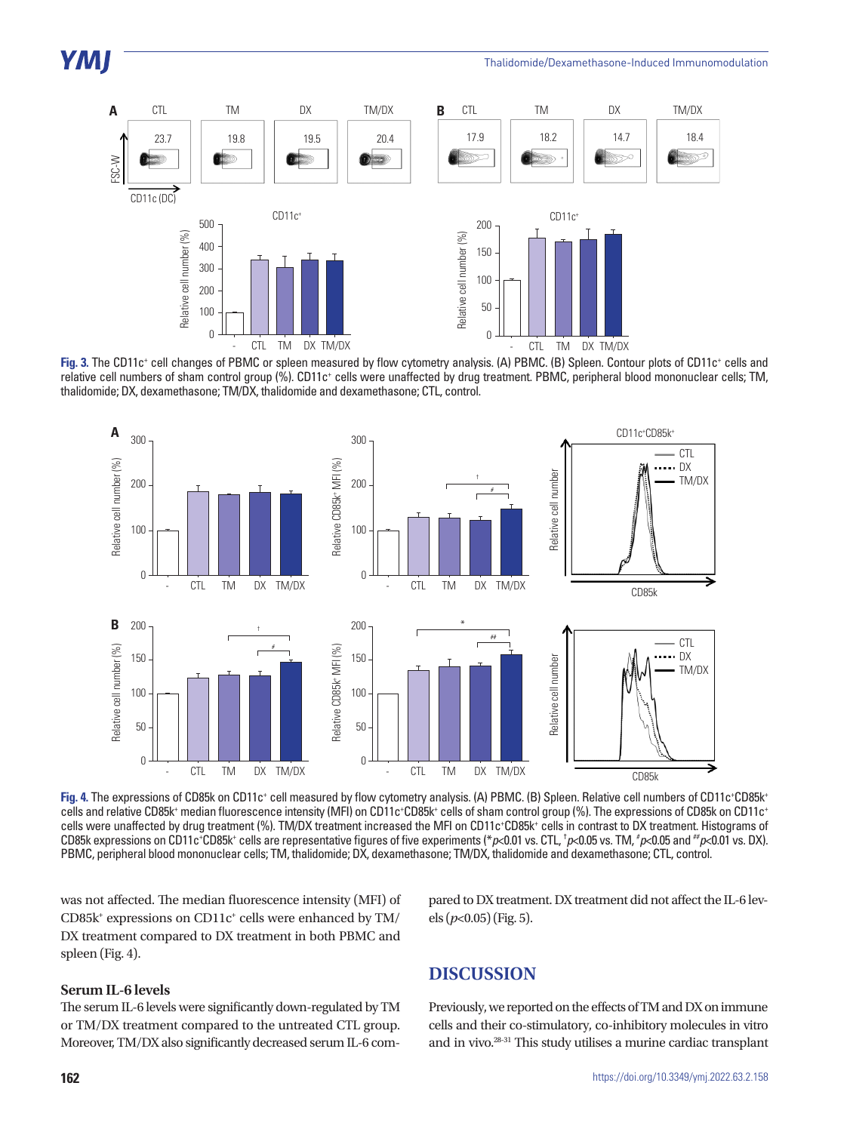

Fig. 3. The CD11c<sup>+</sup> cell changes of PBMC or spleen measured by flow cytometry analysis. (A) PBMC. (B) Spleen. Contour plots of CD11c<sup>+</sup> cells and relative cell numbers of sham control group (%). CD11c+ cells were unaffected by drug treatment. PBMC, peripheral blood mononuclear cells; TM, thalidomide; DX, dexamethasone; TM/DX, thalidomide and dexamethasone; CTL, control.



Fig. 4. The expressions of CD85k on CD11c<sup>+</sup> cell measured by flow cytometry analysis. (A) PBMC. (B) Spleen. Relative cell numbers of CD11c+CD85k+ cells and relative CD85k<sup>+</sup> median fluorescence intensity (MFI) on CD11c+CD85k+ cells of sham control group (%). The expressions of CD85k on CD11c+ cells were unaffected by drug treatment (%). TM/DX treatment increased the MFI on CD11c+CD85k+ cells in contrast to DX treatment. Histograms of CD85k expressions on CD11c+CD85k+ cells are representative figures of five experiments (\**p*<0.01 vs. CTL, †*p*<0.05 vs. TM, #*p*<0.05 and #*p*<0.01 vs. DX). PBMC, peripheral blood mononuclear cells; TM, thalidomide; DX, dexamethasone; TM/DX, thalidomide and dexamethasone; CTL, control.

was not affected. The median fluorescence intensity (MFI) of CD85k<sup>+</sup> expressions on CD11c<sup>+</sup> cells were enhanced by TM/ DX treatment compared to DX treatment in both PBMC and spleen (Fig. 4).

#### **Serum IL-6 levels**

The serum IL-6 levels were significantly down-regulated by TM or TM/DX treatment compared to the untreated CTL group. Moreover, TM/DX also significantly decreased serum IL-6 compared to DX treatment. DX treatment did not affect the IL-6 levels (*p*<0.05) (Fig. 5).

## **DISCUSSION**

Previously, we reported on the effects of TM and DX on immune cells and their co-stimulatory, co-inhibitory molecules in vitro and in vivo.28-31 This study utilises a murine cardiac transplant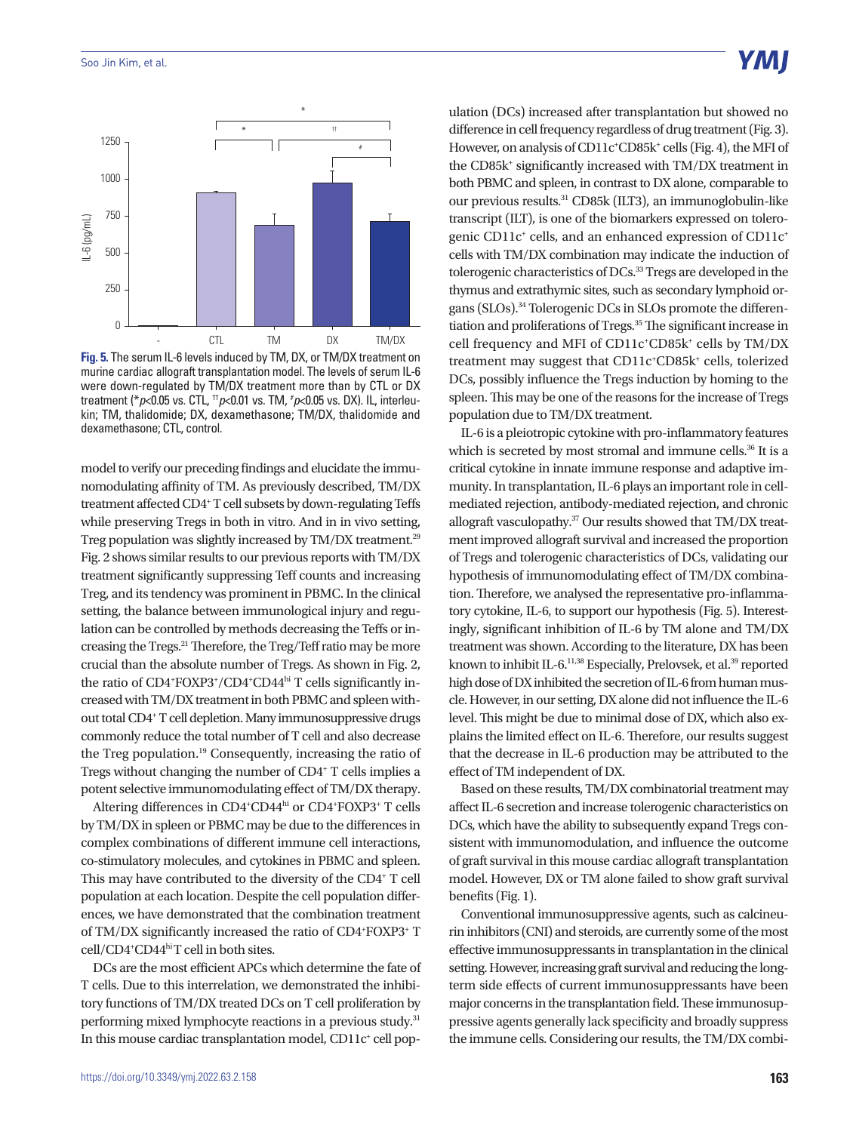

**Fig. 5.** The serum IL-6 levels induced by TM, DX, or TM/DX treatment on murine cardiac allograft transplantation model. The levels of serum IL-6 were down-regulated by TM/DX treatment more than by CTL or DX treatment (\**p*<0.05 vs. CTL, ††*p*<0.01 vs. TM, # *p*<0.05 vs. DX). IL, interleukin; TM, thalidomide; DX, dexamethasone; TM/DX, thalidomide and dexamethasone; CTL, control.

model to verify our preceding findings and elucidate the immunomodulating affinity of TM. As previously described, TM/DX treatment affected CD4+ T cell subsets by down-regulating Teffs while preserving Tregs in both in vitro. And in in vivo setting, Treg population was slightly increased by TM/DX treatment.<sup>29</sup> Fig. 2 shows similar results to our previous reports with TM/DX treatment significantly suppressing Teff counts and increasing Treg, and its tendency was prominent in PBMC. In the clinical setting, the balance between immunological injury and regulation can be controlled by methods decreasing the Teffs or increasing the Tregs.21 Therefore, the Treg/Teff ratio may be more crucial than the absolute number of Tregs. As shown in Fig. 2, the ratio of CD4\*FOXP3\*/CD4\*CD44<sup>hi</sup> T cells significantly increased with TM/DX treatment in both PBMC and spleen without total CD4+ T cell depletion. Many immunosuppressive drugs commonly reduce the total number of T cell and also decrease the Treg population.19 Consequently, increasing the ratio of Tregs without changing the number of CD4+ T cells implies a potent selective immunomodulating effect of TM/DX therapy.

Altering differences in CD4<sup>+</sup>CD44hi or CD4<sup>+</sup>FOXP3<sup>+</sup> T cells by TM/DX in spleen or PBMC may be due to the differences in complex combinations of different immune cell interactions, co-stimulatory molecules, and cytokines in PBMC and spleen. This may have contributed to the diversity of the CD4<sup>+</sup> T cell population at each location. Despite the cell population differences, we have demonstrated that the combination treatment of TM/DX significantly increased the ratio of CD4+FOXP3+ T cell/CD4+ CD44hi T cell in both sites.

DCs are the most efficient APCs which determine the fate of T cells. Due to this interrelation, we demonstrated the inhibitory functions of TM/DX treated DCs on T cell proliferation by performing mixed lymphocyte reactions in a previous study.31 In this mouse cardiac transplantation model, CD11c<sup>+</sup> cell population (DCs) increased after transplantation but showed no difference in cell frequency regardless of drug treatment (Fig. 3). However, on analysis of CD11c<sup>+</sup>CD85k<sup>+</sup> cells (Fig. 4), the MFI of the CD85k<sup>+</sup> significantly increased with TM/DX treatment in both PBMC and spleen, in contrast to DX alone, comparable to our previous results.31 CD85k (ILT3), an immunoglobulin-like transcript (ILT), is one of the biomarkers expressed on tolerogenic CD11c<sup>+</sup> cells, and an enhanced expression of CD11c<sup>+</sup> cells with TM/DX combination may indicate the induction of tolerogenic characteristics of DCs.<sup>33</sup> Tregs are developed in the thymus and extrathymic sites, such as secondary lymphoid organs (SLOs).34 Tolerogenic DCs in SLOs promote the differentiation and proliferations of Tregs.<sup>35</sup> The significant increase in cell frequency and MFI of CD11c<sup>+</sup>CD85k<sup>+</sup> cells by TM/DX treatment may suggest that CD11c<sup>+</sup>CD85k<sup>+</sup> cells, tolerized DCs, possibly influence the Tregs induction by homing to the spleen. This may be one of the reasons for the increase of Tregs population due to TM/DX treatment.

IL-6 is a pleiotropic cytokine with pro-inflammatory features which is secreted by most stromal and immune cells.<sup>36</sup> It is a critical cytokine in innate immune response and adaptive immunity. In transplantation, IL-6 plays an important role in cellmediated rejection, antibody-mediated rejection, and chronic allograft vasculopathy.37 Our results showed that TM/DX treatment improved allograft survival and increased the proportion of Tregs and tolerogenic characteristics of DCs, validating our hypothesis of immunomodulating effect of TM/DX combination. Therefore, we analysed the representative pro-inflammatory cytokine, IL-6, to support our hypothesis (Fig. 5). Interestingly, significant inhibition of IL-6 by TM alone and TM/DX treatment was shown. According to the literature, DX has been known to inhibit IL-6.<sup>11,38</sup> Especially, Prelovsek, et al.<sup>39</sup> reported high dose of DX inhibited the secretion of IL-6 from human muscle. However, in our setting, DX alone did not influence the IL-6 level. This might be due to minimal dose of DX, which also explains the limited effect on IL-6. Therefore, our results suggest that the decrease in IL-6 production may be attributed to the effect of TM independent of DX.

Based on these results, TM/DX combinatorial treatment may affect IL-6 secretion and increase tolerogenic characteristics on DCs, which have the ability to subsequently expand Tregs consistent with immunomodulation, and influence the outcome of graft survival in this mouse cardiac allograft transplantation model. However, DX or TM alone failed to show graft survival benefits (Fig. 1).

Conventional immunosuppressive agents, such as calcineurin inhibitors (CNI) and steroids, are currently some of the most effective immunosuppressants in transplantation in the clinical setting. However, increasing graft survival and reducing the longterm side effects of current immunosuppressants have been major concerns in the transplantation field. These immunosuppressive agents generally lack specificity and broadly suppress the immune cells. Considering our results, the TM/DX combi-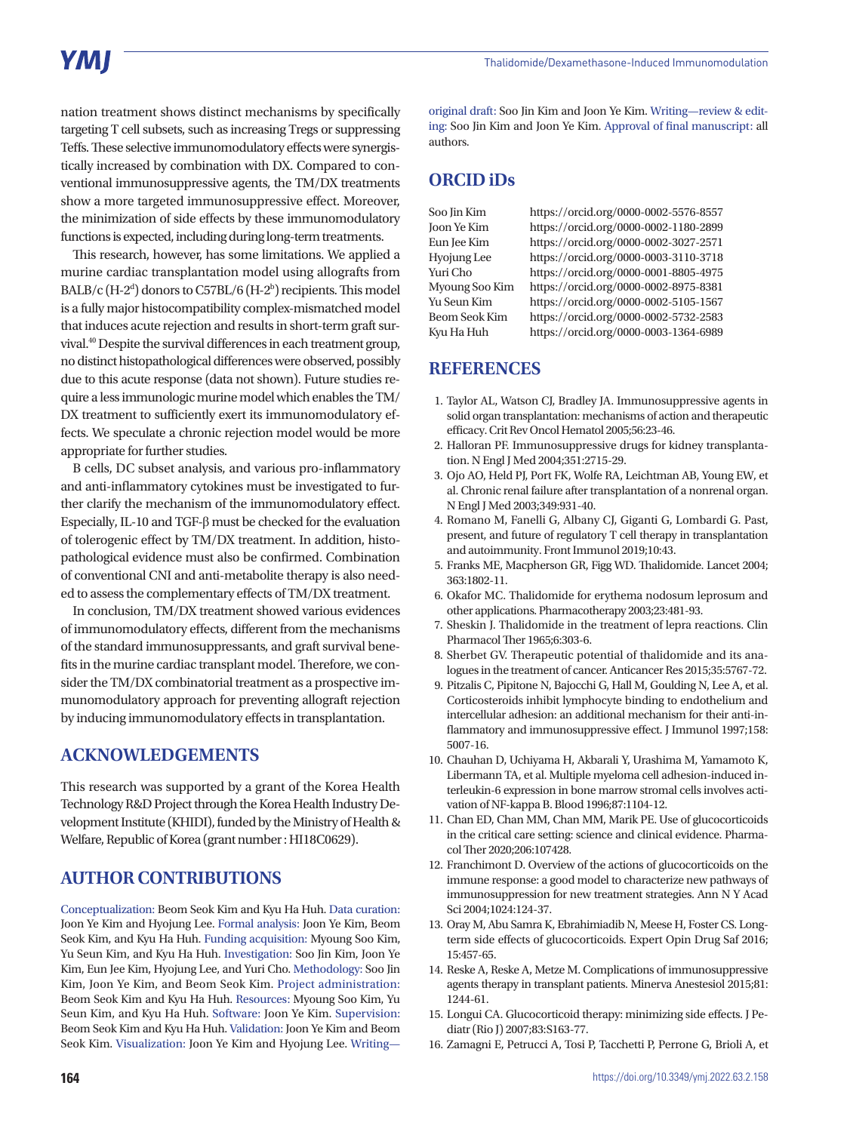## **YMI**

nation treatment shows distinct mechanisms by specifically targeting T cell subsets, such as increasing Tregs or suppressing Teffs. These selective immunomodulatory effects were synergistically increased by combination with DX. Compared to conventional immunosuppressive agents, the TM/DX treatments show a more targeted immunosuppressive effect. Moreover, the minimization of side effects by these immunomodulatory functions is expected, including during long-term treatments.

This research, however, has some limitations. We applied a murine cardiac transplantation model using allografts from BALB/c (H-2<sup>d</sup>) donors to C57BL/6 (H-2<sup>b</sup>) recipients. This model is a fully major histocompatibility complex-mismatched model that induces acute rejection and results in short-term graft survival.40 Despite the survival differences in each treatment group, no distinct histopathological differences were observed, possibly due to this acute response (data not shown). Future studies require a less immunologic murine model which enables the TM/ DX treatment to sufficiently exert its immunomodulatory effects. We speculate a chronic rejection model would be more appropriate for further studies.

B cells, DC subset analysis, and various pro-inflammatory and anti-inflammatory cytokines must be investigated to further clarify the mechanism of the immunomodulatory effect. Especially, IL-10 and TGF-β must be checked for the evaluation of tolerogenic effect by TM/DX treatment. In addition, histopathological evidence must also be confirmed. Combination of conventional CNI and anti-metabolite therapy is also needed to assess the complementary effects of TM/DX treatment.

In conclusion, TM/DX treatment showed various evidences of immunomodulatory effects, different from the mechanisms of the standard immunosuppressants, and graft survival benefits in the murine cardiac transplant model. Therefore, we consider the TM/DX combinatorial treatment as a prospective immunomodulatory approach for preventing allograft rejection by inducing immunomodulatory effects in transplantation.

## **ACKNOWLEDGEMENTS**

This research was supported by a grant of the Korea Health Technology R&D Project through the Korea Health Industry Development Institute (KHIDI), funded by the Ministry of Health & Welfare, Republic of Korea (grant number : HI18C0629).

## **AUTHOR CONTRIBUTIONS**

Conceptualization: Beom Seok Kim and Kyu Ha Huh. Data curation: Joon Ye Kim and Hyojung Lee. Formal analysis: Joon Ye Kim, Beom Seok Kim, and Kyu Ha Huh. Funding acquisition: Myoung Soo Kim, Yu Seun Kim, and Kyu Ha Huh. Investigation: Soo Jin Kim, Joon Ye Kim, Eun Jee Kim, Hyojung Lee, and Yuri Cho. Methodology: Soo Jin Kim, Joon Ye Kim, and Beom Seok Kim. Project administration: Beom Seok Kim and Kyu Ha Huh. Resources: Myoung Soo Kim, Yu Seun Kim, and Kyu Ha Huh. Software: Joon Ye Kim. Supervision: Beom Seok Kim and Kyu Ha Huh. Validation: Joon Ye Kim and Beom Seok Kim. Visualization: Joon Ye Kim and Hyojung Lee. Writing—

original draft: Soo Jin Kim and Joon Ye Kim. Writing—review & editing: Soo Jin Kim and Joon Ye Kim. Approval of final manuscript: all authors.

## **ORCID iDs**

Soo Jin Kim https://orcid.org/0000-0002-5576-8557 Joon Ye Kim https://orcid.org/0000-0002-1180-2899 Eun Jee Kim https://orcid.org/0000-0002-3027-2571 Hyojung Lee https://orcid.org/0000-0003-3110-3718 Yuri Cho https://orcid.org/0000-0001-8805-4975 Myoung Soo Kim https://orcid.org/0000-0002-8975-8381 Yu Seun Kim https://orcid.org/0000-0002-5105-1567 Beom Seok Kim https://orcid.org/0000-0002-5732-2583 Kyu Ha Huh https://orcid.org/0000-0003-1364-6989

## **REFERENCES**

- 1. Taylor AL, Watson CJ, Bradley JA. Immunosuppressive agents in solid organ transplantation: mechanisms of action and therapeutic efficacy. Crit Rev Oncol Hematol 2005;56:23-46.
- 2. Halloran PF. Immunosuppressive drugs for kidney transplantation. N Engl J Med 2004;351:2715-29.
- 3. Ojo AO, Held PJ, Port FK, Wolfe RA, Leichtman AB, Young EW, et al. Chronic renal failure after transplantation of a nonrenal organ. N Engl J Med 2003;349:931-40.
- 4. Romano M, Fanelli G, Albany CJ, Giganti G, Lombardi G. Past, present, and future of regulatory T cell therapy in transplantation and autoimmunity. Front Immunol 2019;10:43.
- 5. Franks ME, Macpherson GR, Figg WD. Thalidomide. Lancet 2004; 363:1802-11.
- 6. Okafor MC. Thalidomide for erythema nodosum leprosum and other applications. Pharmacotherapy 2003;23:481-93.
- 7. Sheskin J. Thalidomide in the treatment of lepra reactions. Clin Pharmacol Ther 1965;6:303-6.
- 8. Sherbet GV. Therapeutic potential of thalidomide and its analogues in the treatment of cancer. Anticancer Res 2015;35:5767-72.
- 9. Pitzalis C, Pipitone N, Bajocchi G, Hall M, Goulding N, Lee A, et al. Corticosteroids inhibit lymphocyte binding to endothelium and intercellular adhesion: an additional mechanism for their anti-inflammatory and immunosuppressive effect. J Immunol 1997;158: 5007-16.
- 10. Chauhan D, Uchiyama H, Akbarali Y, Urashima M, Yamamoto K, Libermann TA, et al. Multiple myeloma cell adhesion-induced interleukin-6 expression in bone marrow stromal cells involves activation of NF-kappa B. Blood 1996;87:1104-12.
- 11. Chan ED, Chan MM, Chan MM, Marik PE. Use of glucocorticoids in the critical care setting: science and clinical evidence. Pharmacol Ther 2020;206:107428.
- 12. Franchimont D. Overview of the actions of glucocorticoids on the immune response: a good model to characterize new pathways of immunosuppression for new treatment strategies. Ann N Y Acad Sci 2004;1024:124-37.
- 13. Oray M, Abu Samra K, Ebrahimiadib N, Meese H, Foster CS. Longterm side effects of glucocorticoids. Expert Opin Drug Saf 2016; 15:457-65.
- 14. Reske A, Reske A, Metze M. Complications of immunosuppressive agents therapy in transplant patients. Minerva Anestesiol 2015;81: 1244-61.
- 15. Longui CA. Glucocorticoid therapy: minimizing side effects. J Pediatr (Rio J) 2007;83:S163-77.
- 16. Zamagni E, Petrucci A, Tosi P, Tacchetti P, Perrone G, Brioli A, et